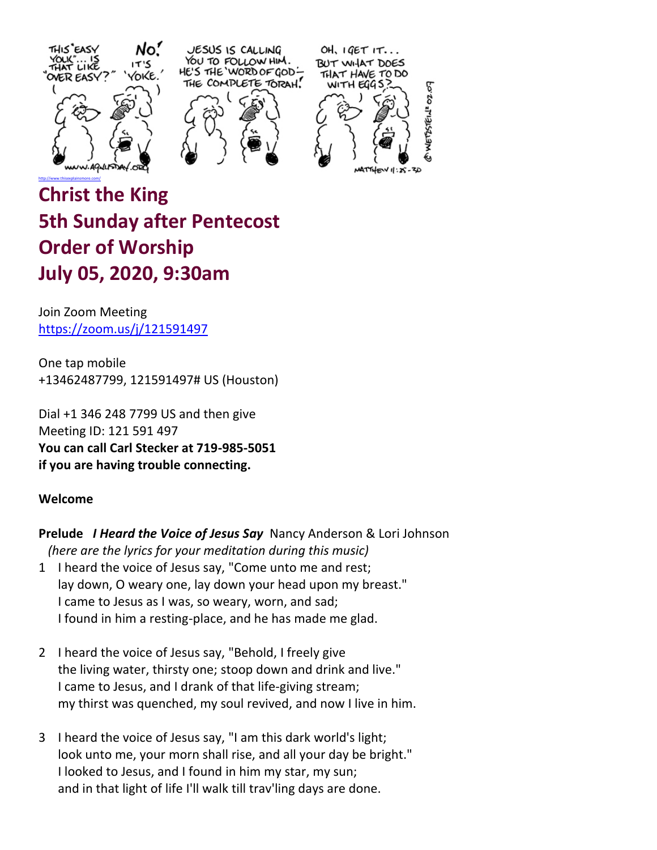



OH,  $IGETIT...$ BUT WHAT DOES THAT HAVE TO DO WITH EGGS **VETSSTEIN' 02.07** 

# **Christ the King 5th Sunday after Pentecost Order of Worship July 05, 2020, 9:30am**

Join Zoom Meeting <https://zoom.us/j/121591497>

One tap mobile +13462487799, 121591497# US (Houston)

Dial +1 346 248 7799 US and then give Meeting ID: 121 591 497 **You can call Carl Stecker at 719-985-5051 if you are having trouble connecting.**

# **Welcome**

**Prelude** *I Heard the Voice of Jesus Say* Nancy Anderson & Lori Johnson *(here are the lyrics for your meditation during this music)*

- 1 I heard the voice of Jesus say, "Come unto me and rest; lay down, O weary one, lay down your head upon my breast." I came to Jesus as I was, so weary, worn, and sad; I found in him a resting-place, and he has made me glad.
- 2 I heard the voice of Jesus say, "Behold, I freely give the living water, thirsty one; stoop down and drink and live." I came to Jesus, and I drank of that life-giving stream; my thirst was quenched, my soul revived, and now I live in him.
- 3 I heard the voice of Jesus say, "I am this dark world's light; look unto me, your morn shall rise, and all your day be bright." I looked to Jesus, and I found in him my star, my sun; and in that light of life I'll walk till trav'ling days are done.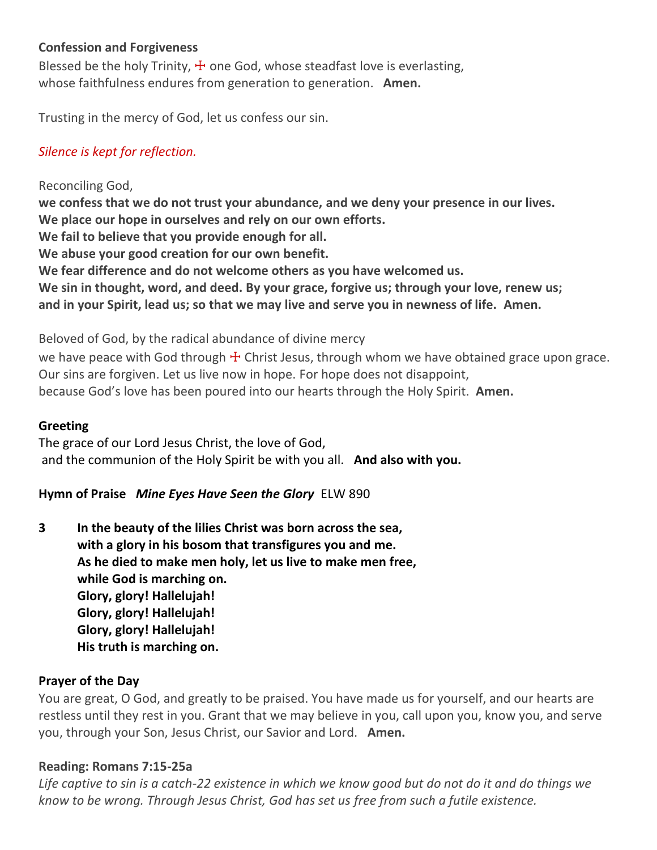# **Confession and Forgiveness**

Blessed be the holy Trinity,  $\pm$  one God, whose steadfast love is everlasting, whose faithfulness endures from generation to generation. **Amen.**

Trusting in the mercy of God, let us confess our sin.

# *Silence is kept for reflection.*

Reconciling God, **we confess that we do not trust your abundance, and we deny your presence in our lives. We place our hope in ourselves and rely on our own efforts. We fail to believe that you provide enough for all. We abuse your good creation for our own benefit. We fear difference and do not welcome others as you have welcomed us. We sin in thought, word, and deed. By your grace, forgive us; through your love, renew us; and in your Spirit, lead us; so that we may live and serve you in newness of life. Amen.**

Beloved of God, by the radical abundance of divine mercy

we have peace with God through  $\pm$  Christ Jesus, through whom we have obtained grace upon grace. Our sins are forgiven. Let us live now in hope. For hope does not disappoint, because God's love has been poured into our hearts through the Holy Spirit. **Amen.**

## **Greeting**

The grace of our Lord Jesus Christ, the love of God, and the communion of the Holy Spirit be with you all. **And also with you.**

# **Hymn of Praise** *Mine Eyes Have Seen the Glory* ELW 890

**3 In the beauty of the lilies Christ was born across the sea, with a glory in his bosom that transfigures you and me. As he died to make men holy, let us live to make men free, while God is marching on. Glory, glory! Hallelujah! Glory, glory! Hallelujah! Glory, glory! Hallelujah! His truth is marching on.**

## **Prayer of the Day**

You are great, O God, and greatly to be praised. You have made us for yourself, and our hearts are restless until they rest in you. Grant that we may believe in you, call upon you, know you, and serve you, through your Son, Jesus Christ, our Savior and Lord. **Amen.**

## **Reading: Romans 7:15-25a**

*Life captive to sin is a catch-22 existence in which we know good but do not do it and do things we know to be wrong. Through Jesus Christ, God has set us free from such a futile existence.*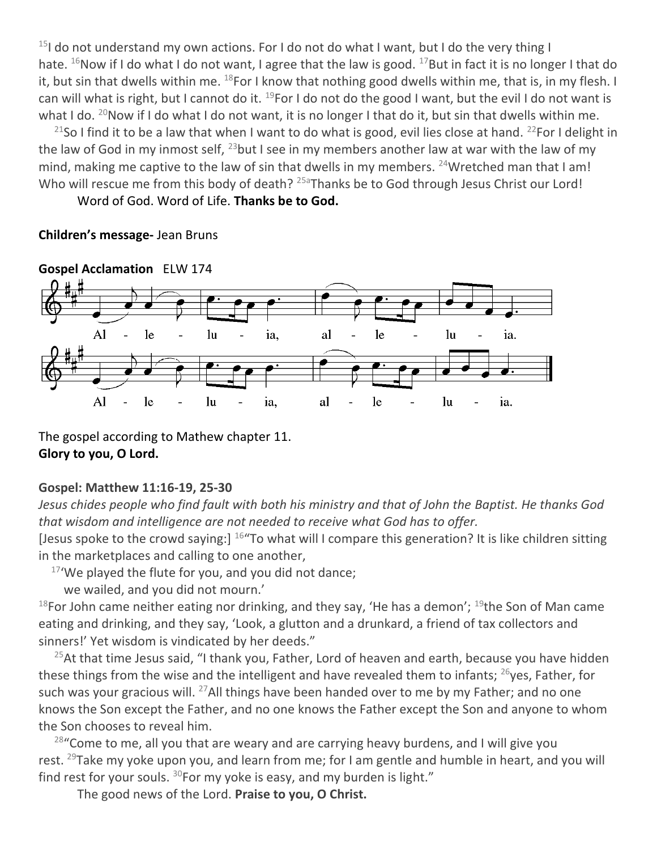$15$ I do not understand my own actions. For I do not do what I want, but I do the very thing I hate. <sup>16</sup>Now if I do what I do not want, I agree that the law is good. <sup>17</sup>But in fact it is no longer I that do it, but sin that dwells within me.  $^{18}$ For I know that nothing good dwells within me, that is, in my flesh. I can will what is right, but I cannot do it.  $^{19}$ For I do not do the good I want, but the evil I do not want is what I do.  $^{20}$ Now if I do what I do not want, it is no longer I that do it, but sin that dwells within me.

<sup>21</sup>So I find it to be a law that when I want to do what is good, evil lies close at hand. <sup>22</sup>For I delight in the law of God in my inmost self,  $^{23}$ but I see in my members another law at war with the law of my mind, making me captive to the law of sin that dwells in my members. <sup>24</sup>Wretched man that I am! Who will rescue me from this body of death?  $25a$ Thanks be to God through Jesus Christ our Lord!

Word of God. Word of Life. **Thanks be to God.**

## **Children's message-** Jean Bruns



The gospel according to Mathew chapter 11. **Glory to you, O Lord.**

# **Gospel: Matthew 11:16-19, 25-30**

*Jesus chides people who find fault with both his ministry and that of John the Baptist. He thanks God that wisdom and intelligence are not needed to receive what God has to offer.*

[Jesus spoke to the crowd saying:] <sup>16</sup>"To what will I compare this generation? It is like children sitting in the marketplaces and calling to one another,

 $17'$ We played the flute for you, and you did not dance;

we wailed, and you did not mourn.'

<sup>18</sup>For John came neither eating nor drinking, and they say, 'He has a demon'; <sup>19</sup>the Son of Man came eating and drinking, and they say, 'Look, a glutton and a drunkard, a friend of tax collectors and sinners!' Yet wisdom is vindicated by her deeds."

 $25$ At that time Jesus said, "I thank you, Father, Lord of heaven and earth, because you have hidden these things from the wise and the intelligent and have revealed them to infants;  $^{26}$ yes, Father, for such was your gracious will.  $^{27}$ All things have been handed over to me by my Father; and no one knows the Son except the Father, and no one knows the Father except the Son and anyone to whom the Son chooses to reveal him.

 $28$ "Come to me, all you that are weary and are carrying heavy burdens, and I will give you rest. <sup>29</sup>Take my yoke upon you, and learn from me; for I am gentle and humble in heart, and you will find rest for your souls.  $30$ For my yoke is easy, and my burden is light."

The good news of the Lord. **Praise to you, O Christ.**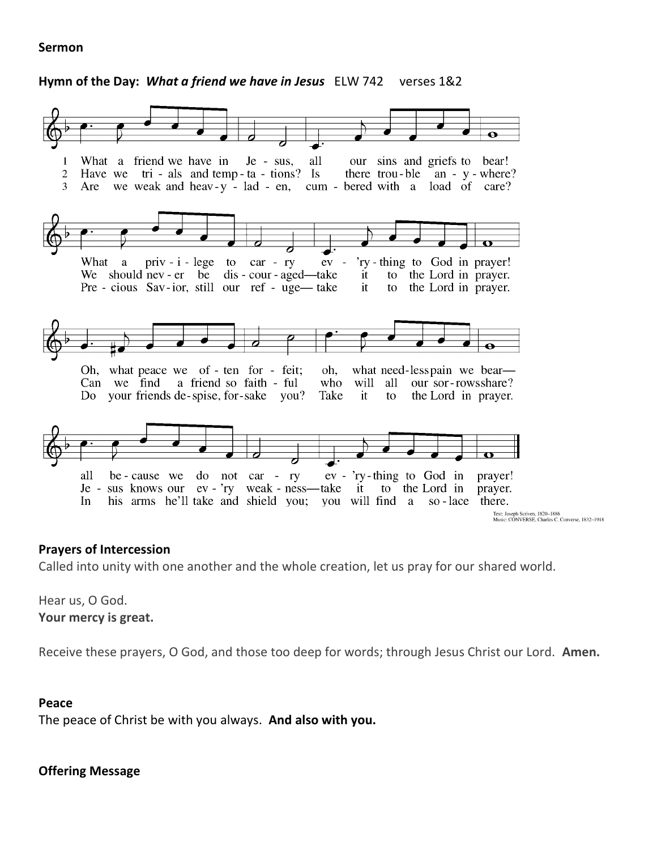#### **Sermon**

#### **Hymn of the Day:** *What a friend we have in Jesus* ELW 742 verses 1&2



#### **Prayers of Intercession**

Called into unity with one another and the whole creation, let us pray for our shared world.

Hear us, O God. **Your mercy is great.**

Receive these prayers, O God, and those too deep for words; through Jesus Christ our Lord. **Amen.**

#### **Peace**

The peace of Christ be with you always. **And also with you.**

## **Offering Message**